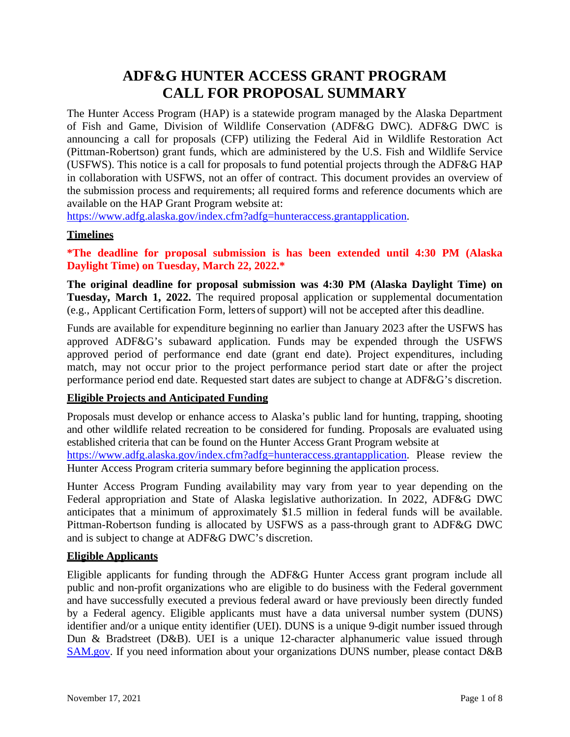# **ADF&G HUNTER ACCESS GRANT PROGRAM CALL FOR PROPOSAL SUMMARY**

The Hunter Access Program (HAP) is a statewide program managed by the Alaska Department of Fish and Game, Division of Wildlife Conservation (ADF&G DWC). ADF&G DWC is announcing a call for proposals (CFP) utilizing the Federal Aid in Wildlife Restoration Act (Pittman-Robertson) grant funds, which are administered by the U.S. Fish and Wildlife Service (USFWS). This notice is a call for proposals to fund potential projects through the ADF&G HAP in collaboration with USFWS, not an offer of contract. This document provides an overview of the submission process and requirements; all required forms and reference documents which are available on the HAP Grant Program website at:

[https://www.adfg.alaska.gov/index.cfm?adfg=hunteraccess.grantapplication.](https://www.adfg.alaska.gov/index.cfm?adfg=hunteraccess.grantapplication)

#### **Timelines**

**\*The deadline for proposal submission is has been extended until 4:30 PM (Alaska Daylight Time) on Tuesday, March 22, 2022.\***

**The original deadline for proposal submission was 4:30 PM (Alaska Daylight Time) on Tuesday, March 1, 2022.** The required proposal application or supplemental documentation (e.g., Applicant Certification Form, letters of support) will not be accepted after this deadline.

Funds are available for expenditure beginning no earlier than January 2023 after the USFWS has approved ADF&G's subaward application. Funds may be expended through the USFWS approved period of performance end date (grant end date). Project expenditures, including match, may not occur prior to the project performance period start date or after the project performance period end date. Requested start dates are subject to change at ADF&G's discretion.

#### **Eligible Projects and Anticipated Funding**

Proposals must develop or enhance access to Alaska's public land for hunting, trapping, shooting and other wildlife related recreation to be considered for funding. Proposals are evaluated using established criteria that can be found on the Hunter Access Grant Program website at

[https://www.adfg.alaska.gov/index.cfm?adfg=hunteraccess.grantapplication.](https://www.adfg.alaska.gov/index.cfm?adfg=hunteraccess.grantapplication) Please review the Hunter Access Program criteria summary before beginning the application process.

Hunter Access Program Funding availability may vary from year to year depending on the Federal appropriation and State of Alaska legislative authorization. In 2022, ADF&G DWC anticipates that a minimum of approximately \$1.5 million in federal funds will be available. Pittman-Robertson funding is allocated by USFWS as a pass-through grant to ADF&G DWC and is subject to change at ADF&G DWC's discretion.

# **Eligible Applicants**

Eligible applicants for funding through the ADF&G Hunter Access grant program include all public and non-profit organizations who are eligible to do business with the Federal government and have successfully executed a previous federal award or have previously been directly funded by a Federal agency. Eligible applicants must have a data universal number system (DUNS) identifier and/or a unique entity identifier (UEI). DUNS is a unique 9-digit number issued through Dun & Bradstreet (D&B). UEI is a unique 12-character alphanumeric value issued through [SAM.gov.](https://sam.gov/content/home) If you need information about your organizations DUNS number, please contact D&B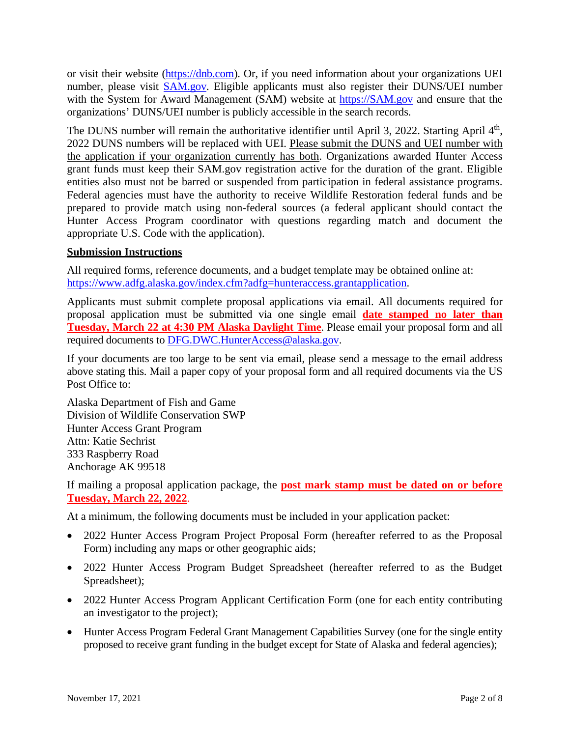or visit their website [\(https://dnb.com\)](https://dnb.com/). Or, if you need information about your organizations UEI number, please visit [SAM.gov.](https://sam.gov/content/home) Eligible applicants must also register their DUNS/UEI number with the System for Award Management (SAM) website at [https://SAM.gov](https://sam.gov/) and ensure that the organizations' DUNS/UEI number is publicly accessible in the search records.

The DUNS number will remain the authoritative identifier until April 3, 2022. Starting April  $4<sup>th</sup>$ , 2022 DUNS numbers will be replaced with UEI. Please submit the DUNS and UEI number with the application if your organization currently has both. Organizations awarded Hunter Access grant funds must keep their SAM.gov registration active for the duration of the grant. Eligible entities also must not be barred or suspended from participation in federal assistance programs. Federal agencies must have the authority to receive Wildlife Restoration federal funds and be prepared to provide match using non-federal sources (a federal applicant should contact the Hunter Access Program coordinator with questions regarding match and document the appropriate U.S. Code with the application).

#### **Submission Instructions**

All required forms, reference documents, and a budget template may be obtained online at: [https://www.adfg.alaska.gov/index.cfm?adfg=hunteraccess.grantapplication.](https://www.adfg.alaska.gov/index.cfm?adfg=hunteraccess.grantapplication)

Applicants must submit complete proposal applications via email. All documents required for proposal application must be submitted via one single email **date stamped no later than Tuesday, March 22 at 4:30 PM Alaska Daylight Time**. Please email your proposal form and all required documents to [DFG.DWC.HunterAccess@alaska.gov.](mailto:DFG.DWC.HunterAccess@alaska.gov)

If your documents are too large to be sent via email, please send a message to the email address above stating this. Mail a paper copy of your proposal form and all required documents via the US Post Office to:

Alaska Department of Fish and Game Division of Wildlife Conservation SWP Hunter Access Grant Program Attn: Katie Sechrist 333 Raspberry Road Anchorage AK 99518

If mailing a proposal application package, the **post mark stamp must be dated on or before Tuesday, March 22, 2022**.

At a minimum, the following documents must be included in your application packet:

- 2022 Hunter Access Program Project Proposal Form (hereafter referred to as the Proposal Form) including any maps or other geographic aids;
- 2022 Hunter Access Program Budget Spreadsheet (hereafter referred to as the Budget Spreadsheet);
- 2022 Hunter Access Program Applicant Certification Form (one for each entity contributing an investigator to the project);
- Hunter Access Program Federal Grant Management Capabilities Survey (one for the single entity proposed to receive grant funding in the budget except for State of Alaska and federal agencies);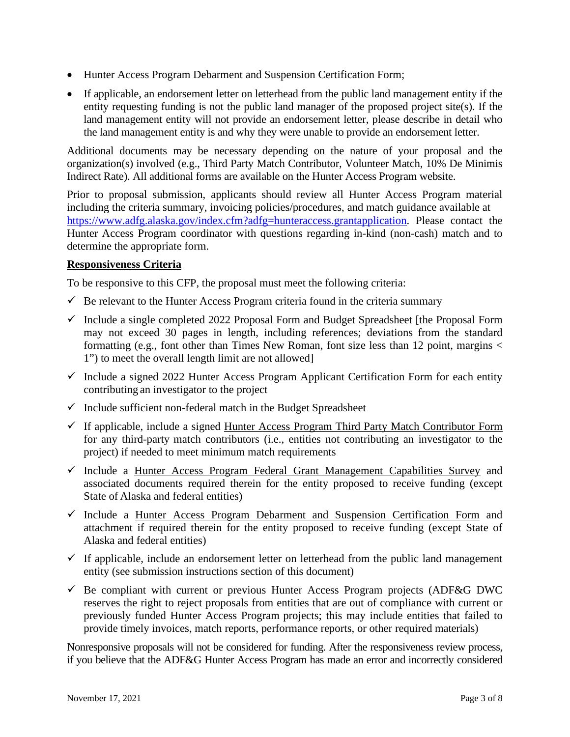- Hunter Access Program Debarment and Suspension Certification Form;
- If applicable, an endorsement letter on letterhead from the public land management entity if the entity requesting funding is not the public land manager of the proposed project site(s). If the land management entity will not provide an endorsement letter, please describe in detail who the land management entity is and why they were unable to provide an endorsement letter.

Additional documents may be necessary depending on the nature of your proposal and the organization(s) involved (e.g., Third Party Match Contributor, Volunteer Match, 10% De Minimis Indirect Rate). All additional forms are available on the Hunter Access Program website.

Prior to proposal submission, applicants should review all Hunter Access Program material including the criteria summary, invoicing policies/procedures, and match guidance available at [https://www.adfg.alaska.gov/index.cfm?adfg=hunteraccess.grantapplication.](https://www.adfg.alaska.gov/index.cfm?adfg=hunteraccess.grantapplication) Please contact the Hunter Access Program coordinator with questions regarding in-kind (non-cash) match and to determine the appropriate form.

#### **Responsiveness Criteria**

To be responsive to this CFP, the proposal must meet the following criteria:

- $\checkmark$  Be relevant to the Hunter Access Program criteria found in the criteria summary
- $\checkmark$  Include a single completed 2022 Proposal Form and Budget Spreadsheet [the Proposal Form may not exceed 30 pages in length, including references; deviations from the standard formatting (e.g., font other than Times New Roman, font size less than 12 point, margins  $\lt$ 1") to meet the overall length limit are not allowed]
- $\checkmark$  Include a signed 2022 Hunter Access Program Applicant Certification Form for each entity contributing an investigator to the project
- $\checkmark$  Include sufficient non-federal match in the Budget Spreadsheet
- $\checkmark$  If applicable, include a signed Hunter Access Program Third Party Match Contributor Form for any third-party match contributors (i.e., entities not contributing an investigator to the project) if needed to meet minimum match requirements
- $\checkmark$  Include a Hunter Access Program Federal Grant Management Capabilities Survey and associated documents required therein for the entity proposed to receive funding (except State of Alaska and federal entities)
- $\checkmark$  Include a Hunter Access Program Debarment and Suspension Certification Form and attachment if required therein for the entity proposed to receive funding (except State of Alaska and federal entities)
- $\checkmark$  If applicable, include an endorsement letter on letterhead from the public land management entity (see submission instructions section of this document)
- $\checkmark$  Be compliant with current or previous Hunter Access Program projects (ADF&G DWC reserves the right to reject proposals from entities that are out of compliance with current or previously funded Hunter Access Program projects; this may include entities that failed to provide timely invoices, match reports, performance reports, or other required materials)

Nonresponsive proposals will not be considered for funding. After the responsiveness review process, if you believe that the ADF&G Hunter Access Program has made an error and incorrectly considered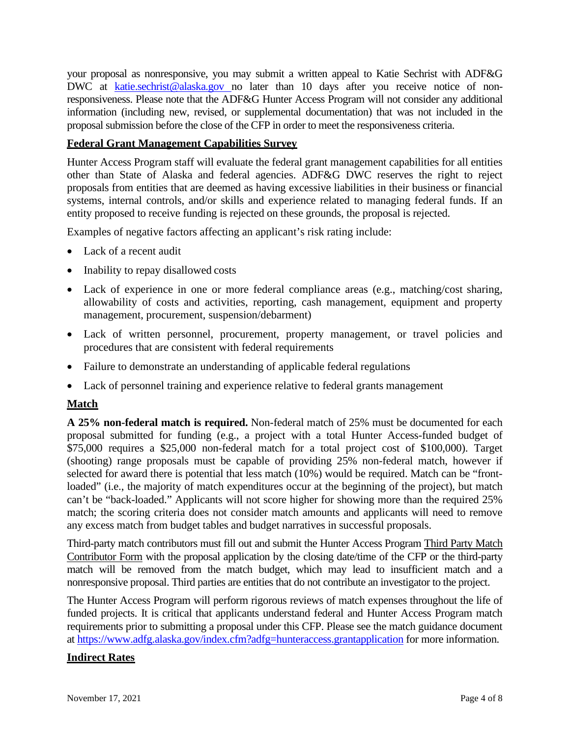your proposal as nonresponsive, you may submit a written appeal to Katie Sechrist with ADF&G DWC at [katie.sechrist@alaska.gov n](mailto:katie.sechrist@alaska.gov)o later than 10 days after you receive notice of nonresponsiveness. Please note that the ADF&G Hunter Access Program will not consider any additional information (including new, revised, or supplemental documentation) that was not included in the proposal submission before the close of the CFP in order to meet the responsiveness criteria.

#### **Federal Grant Management Capabilities Survey**

Hunter Access Program staff will evaluate the federal grant management capabilities for all entities other than State of Alaska and federal agencies. ADF&G DWC reserves the right to reject proposals from entities that are deemed as having excessive liabilities in their business or financial systems, internal controls, and/or skills and experience related to managing federal funds. If an entity proposed to receive funding is rejected on these grounds, the proposal is rejected.

Examples of negative factors affecting an applicant's risk rating include:

- Lack of a recent audit
- Inability to repay disallowed costs
- Lack of experience in one or more federal compliance areas (e.g., matching/cost sharing, allowability of costs and activities, reporting, cash management, equipment and property management, procurement, suspension/debarment)
- Lack of written personnel, procurement, property management, or travel policies and procedures that are consistent with federal requirements
- Failure to demonstrate an understanding of applicable federal regulations
- Lack of personnel training and experience relative to federal grants management

# **Match**

**A 25% non-federal match is required.** Non-federal match of 25% must be documented for each proposal submitted for funding (e.g., a project with a total Hunter Access-funded budget of \$75,000 requires a \$25,000 non-federal match for a total project cost of \$100,000). Target (shooting) range proposals must be capable of providing 25% non-federal match, however if selected for award there is potential that less match (10%) would be required. Match can be "frontloaded" (i.e., the majority of match expenditures occur at the beginning of the project), but match can't be "back-loaded." Applicants will not score higher for showing more than the required 25% match; the scoring criteria does not consider match amounts and applicants will need to remove any excess match from budget tables and budget narratives in successful proposals.

Third-party match contributors must fill out and submit the Hunter Access Program Third Party Match Contributor Form with the proposal application by the closing date/time of the CFP or the third-party match will be removed from the match budget, which may lead to insufficient match and a nonresponsive proposal. Third parties are entities that do not contribute an investigator to the project.

The Hunter Access Program will perform rigorous reviews of match expenses throughout the life of funded projects. It is critical that applicants understand federal and Hunter Access Program match requirements prior to submitting a proposal under this CFP. Please see the match guidance document at<https://www.adfg.alaska.gov/index.cfm?adfg=hunteraccess.grantapplication> for more information.

# **Indirect Rates**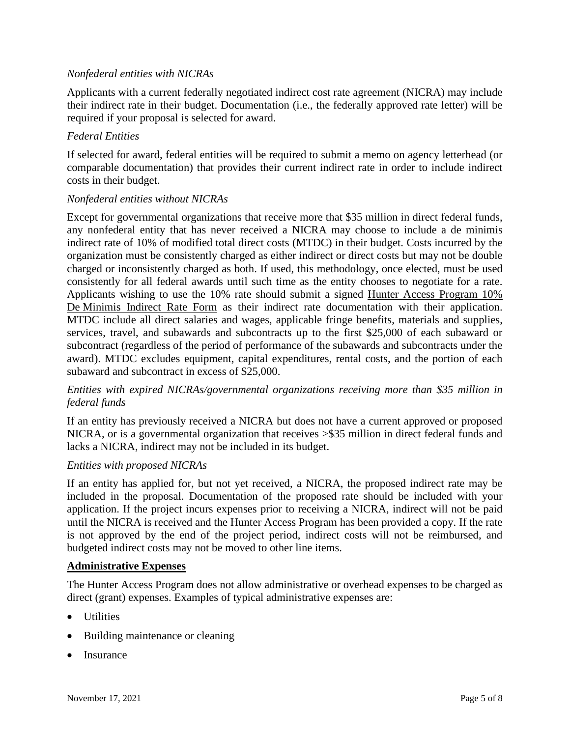#### *Nonfederal entities with NICRAs*

Applicants with a current federally negotiated indirect cost rate agreement (NICRA) may include their indirect rate in their budget. Documentation (i.e., the federally approved rate letter) will be required if your proposal is selected for award.

#### *Federal Entities*

If selected for award, federal entities will be required to submit a memo on agency letterhead (or comparable documentation) that provides their current indirect rate in order to include indirect costs in their budget.

#### *Nonfederal entities without NICRAs*

Except for governmental organizations that receive more that \$35 million in direct federal funds, any nonfederal entity that has never received a NICRA may choose to include a de minimis indirect rate of 10% of modified total direct costs (MTDC) in their budget. Costs incurred by the organization must be consistently charged as either indirect or direct costs but may not be double charged or inconsistently charged as both. If used, this methodology, once elected, must be used consistently for all federal awards until such time as the entity chooses to negotiate for a rate. Applicants wishing to use the 10% rate should submit a signed Hunter Access Program 10% De Minimis Indirect Rate Form as their indirect rate documentation with their application. MTDC include all direct salaries and wages, applicable fringe benefits, materials and supplies, services, travel, and subawards and subcontracts up to the first \$25,000 of each subaward or subcontract (regardless of the period of performance of the subawards and subcontracts under the award). MTDC excludes equipment, capital expenditures, rental costs, and the portion of each subaward and subcontract in excess of \$25,000.

#### *Entities with expired NICRAs/governmental organizations receiving more than \$35 million in federal funds*

If an entity has previously received a NICRA but does not have a current approved or proposed NICRA, or is a governmental organization that receives >\$35 million in direct federal funds and lacks a NICRA, indirect may not be included in its budget.

#### *Entities with proposed NICRAs*

If an entity has applied for, but not yet received, a NICRA, the proposed indirect rate may be included in the proposal. Documentation of the proposed rate should be included with your application. If the project incurs expenses prior to receiving a NICRA, indirect will not be paid until the NICRA is received and the Hunter Access Program has been provided a copy. If the rate is not approved by the end of the project period, indirect costs will not be reimbursed, and budgeted indirect costs may not be moved to other line items.

#### **Administrative Expenses**

The Hunter Access Program does not allow administrative or overhead expenses to be charged as direct (grant) expenses. Examples of typical administrative expenses are:

- Utilities
- Building maintenance or cleaning
- **Insurance**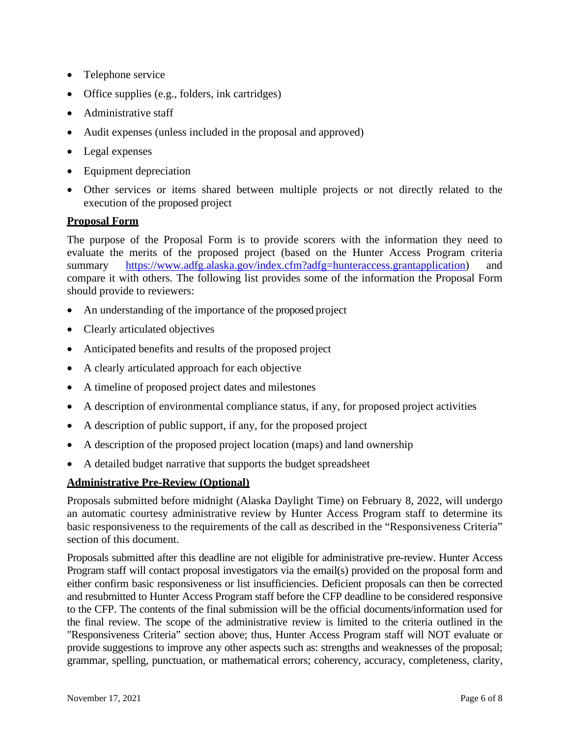- Telephone service
- Office supplies (e.g., folders, ink cartridges)
- Administrative staff
- Audit expenses (unless included in the proposal and approved)
- Legal expenses
- Equipment depreciation
- Other services or items shared between multiple projects or not directly related to the execution of the proposed project

#### **Proposal Form**

The purpose of the Proposal Form is to provide scorers with the information they need to evaluate the merits of the proposed project (based on the Hunter Access Program criteria summary [https://www.adfg.alaska.gov/index.cfm?adfg=hunteraccess.grantapplication\)](https://www.adfg.alaska.gov/index.cfm?adfg=hunteraccess.grantapplication) and compare it with others. The following list provides some of the information the Proposal Form should provide to reviewers:

- An understanding of the importance of the proposed project
- Clearly articulated objectives
- Anticipated benefits and results of the proposed project
- A clearly articulated approach for each objective
- A timeline of proposed project dates and milestones
- A description of environmental compliance status, if any, for proposed project activities
- A description of public support, if any, for the proposed project
- A description of the proposed project location (maps) and land ownership
- A detailed budget narrative that supports the budget spreadsheet

# **Administrative Pre-Review (Optional)**

Proposals submitted before midnight (Alaska Daylight Time) on February 8, 2022, will undergo an automatic courtesy administrative review by Hunter Access Program staff to determine its basic responsiveness to the requirements of the call as described in the "Responsiveness Criteria" section of this document.

Proposals submitted after this deadline are not eligible for administrative pre-review. Hunter Access Program staff will contact proposal investigators via the email(s) provided on the proposal form and either confirm basic responsiveness or list insufficiencies. Deficient proposals can then be corrected and resubmitted to Hunter Access Program staff before the CFP deadline to be considered responsive to the CFP. The contents of the final submission will be the official documents/information used for the final review. The scope of the administrative review is limited to the criteria outlined in the "Responsiveness Criteria" section above; thus, Hunter Access Program staff will NOT evaluate or provide suggestions to improve any other aspects such as: strengths and weaknesses of the proposal; grammar, spelling, punctuation, or mathematical errors; coherency, accuracy, completeness, clarity,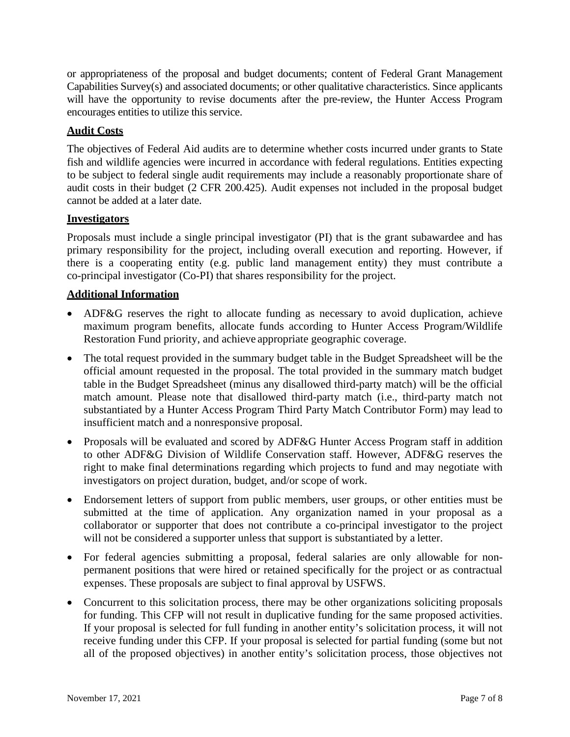or appropriateness of the proposal and budget documents; content of Federal Grant Management Capabilities Survey(s) and associated documents; or other qualitative characteristics. Since applicants will have the opportunity to revise documents after the pre-review, the Hunter Access Program encourages entities to utilize this service.

# **Audit Costs**

The objectives of Federal Aid audits are to determine whether costs incurred under grants to State fish and wildlife agencies were incurred in accordance with federal regulations. Entities expecting to be subject to federal single audit requirements may include a reasonably proportionate share of audit costs in their budget (2 CFR 200.425). Audit expenses not included in the proposal budget cannot be added at a later date.

# **Investigators**

Proposals must include a single principal investigator (PI) that is the grant subawardee and has primary responsibility for the project, including overall execution and reporting. However, if there is a cooperating entity (e.g. public land management entity) they must contribute a co-principal investigator (Co-PI) that shares responsibility for the project.

# **Additional Information**

- ADF&G reserves the right to allocate funding as necessary to avoid duplication, achieve maximum program benefits, allocate funds according to Hunter Access Program/Wildlife Restoration Fund priority, and achieve appropriate geographic coverage.
- The total request provided in the summary budget table in the Budget Spreadsheet will be the official amount requested in the proposal. The total provided in the summary match budget table in the Budget Spreadsheet (minus any disallowed third-party match) will be the official match amount. Please note that disallowed third-party match (i.e., third-party match not substantiated by a Hunter Access Program Third Party Match Contributor Form) may lead to insufficient match and a nonresponsive proposal.
- Proposals will be evaluated and scored by ADF&G Hunter Access Program staff in addition to other ADF&G Division of Wildlife Conservation staff. However, ADF&G reserves the right to make final determinations regarding which projects to fund and may negotiate with investigators on project duration, budget, and/or scope of work.
- Endorsement letters of support from public members, user groups, or other entities must be submitted at the time of application. Any organization named in your proposal as a collaborator or supporter that does not contribute a co-principal investigator to the project will not be considered a supporter unless that support is substantiated by a letter.
- For federal agencies submitting a proposal, federal salaries are only allowable for nonpermanent positions that were hired or retained specifically for the project or as contractual expenses. These proposals are subject to final approval by USFWS.
- Concurrent to this solicitation process, there may be other organizations soliciting proposals for funding. This CFP will not result in duplicative funding for the same proposed activities. If your proposal is selected for full funding in another entity's solicitation process, it will not receive funding under this CFP. If your proposal is selected for partial funding (some but not all of the proposed objectives) in another entity's solicitation process, those objectives not